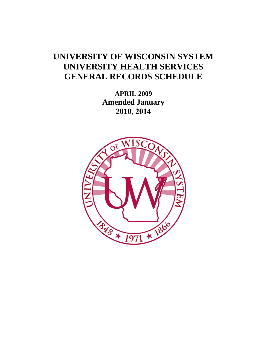# **UNIVERSITY OF WISCONSIN SYSTEM UNIVERSITY HEALTH SERVICES GENERAL RECORDS SCHEDULE**

**APRIL 2009 Amended January 2010, 2014**

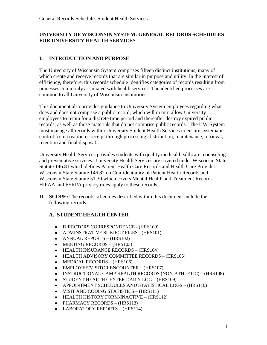## **UNIVERSITY OF WISCONSIN SYSTEM: GENERAL RECORDS SCHEDULES FOR UNIVERSITY HEALTH SERVICES**

# **I. INTRODUCTION AND PURPOSE**

The University of Wisconsin System comprises fifteen distinct institutions, many of which create and receive records that are similar in purpose and utility. In the interest of efficiency, therefore, this records schedule identifies categories of records resulting from processes commonly associated with health services. The identified processes are common to all University of Wisconsin institutions.

This document also provides guidance to University System employees regarding what does and does not comprise a public record, which will in turn allow University employees to retain for a discrete time period and thereafter destroy expired public records, as well as those materials that do not comprise public records. The UW-System must manage all records within University Student Health Services to ensure systematic control from creation or receipt through processing, distribution, maintenance, retrieval, retention and final disposal.

University Health Services provides students with quality medical healthcare, counseling and preventative services. University Health Services are covered under Wisconsin State Statute 146.81 which defines Patient Health Care Records and Health Care Provider, Wisconsin State Statute 146.82 on Confidentiality of Patient Health Records and Wisconsin State Statute 51.30 which covers Mental Health and Treatment Records. HIPAA and FERPA privacy rules apply to these records.

**II. SCOPE:** The records schedules described within this document include the following records:

# **A. STUDENT HEALTH CENTER**

- DIRECTORS CORRESPONDENCE (HRS100)
- ADMINSTRATIVE SUBJECT FILES (HRS101)
- ANNUAL REPORTS (HRS102)
- $\bullet$  MEETING RECORDS (HRS103)
- HEALTH INSURANCE RECORDS (HRS104)
- HEALTH ADVISORY COMMITTEE RECORDS (HRS105)
- $\bullet$  MEDICAL RECORDS (HRS106)
- EMPLOYEE/VISITOR ENCOUNTER (HRS107)
- INSTRUCTIONAL CAMP HEALTH RECORDS (NON-ATHLETIC) (HRS108)
- STUDENT HEALTH CENTER DAILY LOG (HRS109)
- APPOINTMENT SCHEDULES AND STATISTICAL LOGS (HRS110)
- VISIT AND CODING STATISTICS (HRS111)
- HEALTH HISTORY FORM-INACTIVE (HRS112)
- $\bullet$  PHARMACY RECORDS (HRS113)
- LABORATORY REPORTS (HRS114)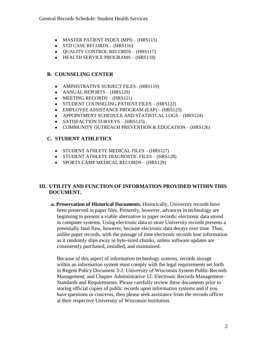- MASTER PATIENT INDEX (MPI) (HRS115)
- $\bullet$  STD CASE RECORDS (HRS116)
- QUALITY CONTROL RECORDS (HRS117)
- HEALTH SERVICE PROGRAMS (HRS118)

## **B. COUNSELING CENTER**

- AMINISTRATIVE SUBJECT FILES- (HRS119)
- ANNUAL REPORTS (HRS120)
- $\bullet$  MEETING RECORDS (HRS121)
- STUDENT COUNSELING PATIENT FILES (HRS122)
- EMPLOYEE ASSISTANCE PROGRAM (EAP) (HRS123)
- APPOINTMENT SCHEDULE AND STATISTCAL LOGS (HRS124)
- SATISFACTION SURVEYS (HRS125)
- COMMUNITY OUTREACH PREVENTION & EDUCATION (HRS126)

## **C. STUDENT ATHLETICS**

- STUDENT ATHLETE MEDICAL FILES (HRS127)
- STUDENT ATHLETE DIAGNOSTIC FILES (HRS128)
- SPORTS CAMP MEDICAL RECORDS (HRS129)

#### **III. UTILITY AND FUNCTION OF INFORMATION PROVIDED WITHIN THIS DOCUMENT.**

**a. Preservation of Historical Documents.** Historically, University records have been preserved in paper files. Presently, however, advances in technology are beginning to present a viable alternative to paper records: electronic data stored in computer systems. Using electronic data to store University records presents a potentially fatal flaw, however, because electronic data decays over time. Thus, unlike paper records, with the passage of time electronic records lose information as it randomly slips away in byte-sized chunks, unless software updates are consistently purchased, installed, and maintained.

Because of this aspect of information technology systems, records storage within an information system must comply with the legal requirements set forth in Regent Policy Document 3-2: University of Wisconsin System Public Records Management; and Chapter Administrative 12: Electronic Records Management-Standards and Requirements. Please carefully review these documents prior to storing official copies of public records upon information systems and if you have questions or concerns, then please seek assistance from the records officer at their respective University of Wisconsin institution.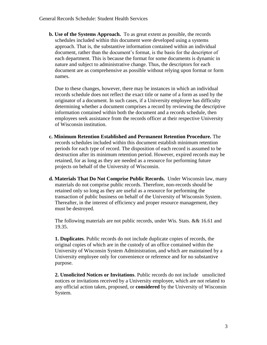**b. Use of the Systems Approach.** To as great extent as possible, the records schedules included within this document were developed using a systems approach. That is, the substantive information contained within an individual document, rather than the document's format, is the basis for the descriptor of each department. This is because the format for some documents is dynamic in nature and subject to administrative change. Thus, the descriptors for each document are as comprehensive as possible without relying upon format or form names.

Due to these changes, however, there may be instances in which an individual records schedule does not reflect the exact title or name of a form as used by the originator of a document. In such cases, if a University employee has difficulty determining whether a document comprises a record by reviewing the descriptive information contained within both the document and a records schedule, then employees seek assistance from the records officer at their respective University of Wisconsin institution.

- **c. Minimum Retention Established and Permanent Retention Procedure.** The records schedules included within this document establish minimum retention periods for each type of record. The disposition of each record is assumed to be destruction after its minimum retention period. However, expired records may be retained, for as long as they are needed as a resource for performing future projects on behalf of the University of Wisconsin.
- **d. Materials That Do Not Comprise Public Records.** Under Wisconsin law, many materials do not comprise public records. Therefore, non-records should be retained only so long as they are useful as a resource for performing the transaction of public business on behalf of the University of Wisconsin System. Thereafter, in the interest of efficiency and proper resource management, they must be destroyed.

The following materials are not public records, under Wis. Stats. && 16.61 and 19.35.

**1. Duplicates**. Public records do not include duplicate copies of records, the original copies of which are in the custody of an office contained within the University of Wisconsin System Administration, and which are maintained by a University employee only for convenience or reference and for no substantive purpose.

**2. Unsolicited Notices or Invitations**. Public records do not includeunsolicited notices or invitations received by a University employee, which are not related to any official action taken, proposed, or **considered** by the University of Wisconsin System.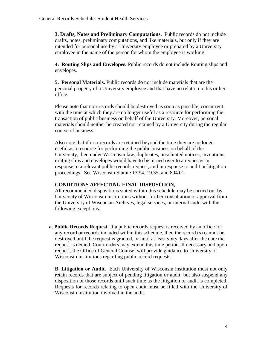**3. Drafts, Notes and Preliminary Computations.** Public records do not include drafts, notes, preliminary computations, and like materials, but only if they are intended for personal use by a University employee or prepared by a University employee in the name of the person for whom the employee is working.

**4. Routing Slips and Envelopes.** Public records do not include Routing slips and envelopes.

**5. Personal Materials.** Public records do not include materials that are the personal property of a University employee and that have no relation to his or her office.

Please note that non-records should be destroyed as soon as possible, concurrent with the time at which they are no longer useful as a resource for performing the transaction of public business on behalf of the University. Moreover, personal materials should neither be created nor retained by a University during the regular course of business.

Also note that if non-records are retained beyond the time they are no longer useful as a resource for performing the public business on behalf of the University, then under Wisconsin law, duplicates, unsolicited notices, invitations, routing slips and envelopes would have to be turned over to a requester in response to a relevant public records request, and in response to audit or litigation proceedings. See Wisconsin Statute 13.94, 19.35, and 804.01.

## **CONDITIONS AFFECTING FINAL DISPOSITION,**

All recommended dispositions stated within this schedule may be carried out by University of Wisconsin institutions without further consultation or approval from the University of Wisconsin Archives, legal services, or internal audit with the following exceptions:

**a. Public Records Request.** If a public records request is received by an office for any record or records included within this schedule, then the record (s) cannot be destroyed until the request is granted, or until at least sixty days after the date the request is denied. Court orders may extend this time period. If necessary and upon request, the Office of General Counsel will provide guidance to University of Wisconsin institutions regarding public record requests.

**B. Litigation or Audit.** Each University of Wisconsin institution must not only retain records that are subject of pending litigation or audit, but also suspend any disposition of those records until such time as the litigation or audit is completed. Requests for records relating to open audit must be filled with the University of Wisconsin institution involved in the audit.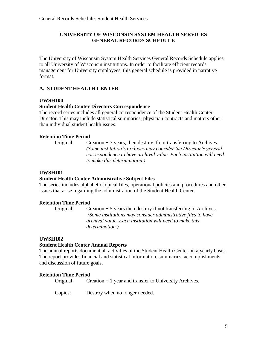## **UNIVERSITY OF WISCONSIN SYSTEM HEALTH SERVICES GENERAL RECORDS SCHEDULE**

The University of Wisconsin System Health Services General Records Schedule applies to all University of Wisconsin institutions. In order to facilitate efficient records management for University employees, this general schedule is provided in narrative format.

## **A. STUDENT HEALTH CENTER**

## **UWSH100**

## **Student Health Center Directors Correspondence**

The record series includes all general correspondence of the Student Health Center Director. This may include statistical summaries, physician contracts and matters other than individual student health issues.

#### **Retention Time Period**

Original: Creation  $+3$  years, then destroy if not transferring to Archives. *(Some institution's archives may consider the Director's general correspondence to have archival value. Each institution will need to make this determination.)*

## **UWSH101**

## **Student Health Center Administrative Subject Files**

The series includes alphabetic topical files, operational policies and procedures and other issues that arise regarding the administration of the Student Health Center.

## **Retention Time Period**

Original: Creation + 5 years then destroy if not transferring to Archives. *(Some institutions may consider administrative files to have archival value. Each institution will need to make this determination.)* 

## **UWSH102**

#### **Student Health Center Annual Reports**

The annual reports document all activities of the Student Health Center on a yearly basis. The report provides financial and statistical information, summaries, accomplishments and discussion of future goals.

#### **Retention Time Period**

Original: Creation + 1 year and transfer to University Archives.

Copies: Destroy when no longer needed.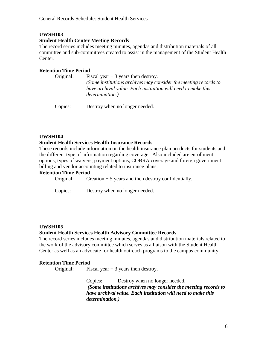#### **Student Health Center Meeting Records**

The record series includes meeting minutes, agendas and distribution materials of all committee and sub-committees created to assist in the management of the Student Health Center.

## **Retention Time Period**

| Original: | Fiscal year $+3$ years then destroy.                            |
|-----------|-----------------------------------------------------------------|
|           | (Some institutions archives may consider the meeting records to |
|           | have archival value. Each institution will need to make this    |
|           | <i>determination.)</i>                                          |
|           |                                                                 |

Copies: Destroy when no longer needed.

## **UWSH104**

#### **Student Health Services Health Insurance Records**

These records include information on the health insurance plan products for students and the different type of information regarding coverage. Also included are enrollment options, types of waivers, payment options, COBRA coverage and foreign government billing and vendor accounting related to insurance plans.

#### **Retention Time Period**

| Creation $+5$ years and then destroy confidentially. | Original: |  |  |  |
|------------------------------------------------------|-----------|--|--|--|
|------------------------------------------------------|-----------|--|--|--|

Copies: Destroy when no longer needed.

## **UWSH105**

#### **Student Health Services Health Advisory Committee Records**

The record series includes meeting minutes, agendas and distribution materials related to the work of the advisory committee which serves as a liaison with the Student Health Center as well as an advocate for health outreach programs to the campus community.

#### **Retention Time Period**

Original: Fiscal year  $+3$  years then destroy.

Copies: Destroy when no longer needed. *(Some institutions archives may consider the meeting records to have archival value. Each institution will need to make this determination.)*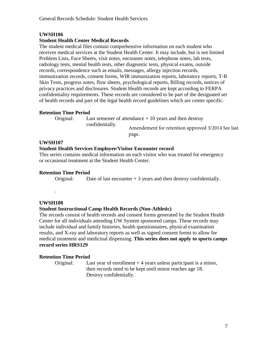## **Student Health Center Medical Records**

The student medical files contain comprehensive information on each student who receives medical services at the Student Health Center. It may include, but is not limited Problem Lists, Face Sheets, visit notes, encounter notes, telephone notes, lab tests, radiology tests, mental health tests, other diagnostic tests, physical exams, outside records, correspondence such as emails, messages, allergy injection records, immunization records, consent forms, WIR immunization reports, laboratory reports, T-B Skin Tests, progress notes, flow sheets, psychological reports, Billing records, notices of privacy practices and disclosures. Student Health records are kept according to FERPA confidentiality requirements. These records are considered to be part of the designated set of health records and part of the legal health record guidelines which are center specific.

#### **Retention Time Period**

Original: Last semester of attendance + 10 years and then destroy confidentially. Amendement for retention approved 3/2014 See last page.

## **UWSH107**

## **Student Health Services Employee/Visitor Encounter record**

This series contains medical information on each visitor who was treated for emergency or occasional treatment at the Student Health Center.

## **Retention Time Period**

Original: Date of last encounter  $+3$  years and then destroy confidentially.

## **UWSH108**

.

## **Student Instructional Camp Health Records (Non-Athletic)**

The records consist of health records and consent forms generated by the Student Health Center for all individuals attending UW System sponsored camps. These records may include individual and family histories, health questionnaires, physical examination results, and X-ray and laboratory reports as well as signed consent forms to allow for medical treatment and medicinal dispensing. **This series does not apply to sports camps record series HRS129**

## **Retention Time Period**

Original: Last year of enrollment + 4 years unless participant is a minor, then records need to be kept until minor reaches age 18. Destroy confidentially.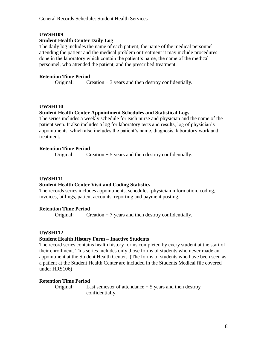## **Student Health Center Daily Log**

The daily log includes the name of each patient, the name of the medical personnel attending the patient and the medical problem or treatment it may include procedures done in the laboratory which contain the patient's name, the name of the medical personnel, who attended the patient, and the prescribed treatment.

## **Retention Time Period**

Original: Creation  $+3$  years and then destroy confidentially.

## **UWSH110**

## **Student Health Center Appointment Schedules and Statistical Logs**

The series includes a weekly schedule for each nurse and physician and the name of the patient seen. It also includes a log for laboratory tests and results, log of physician's appointments, which also includes the patient's name, diagnosis, laboratory work and treatment.

## **Retention Time Period**

Original: Creation + 5 years and then destroy confidentially.

## **UWSH111**

## **Student Health Center Visit and Coding Statistics**

The records series includes appointments, schedules, physician information, coding, invoices, billings, patient accounts, reporting and payment posting.

## **Retention Time Period**

Original: Creation  $+ 7$  years and then destroy confidentially.

## **UWSH112**

## **Student Health History Form – Inactive Students**

The record series contains health history forms completed by every student at the start of their enrollment. This series includes only those forms of students who never made an appointment at the Student Health Center. (The forms of students who have been seen as a patient at the Student Health Center are included in the Students Medical file covered under HRS106)

## **Retention Time Period**

Original: Last semester of attendance + 5 years and then destroy confidentially.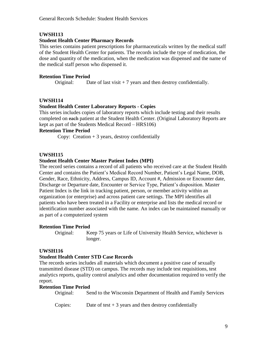#### **Student Health Center Pharmacy Records**

This series contains patient prescriptions for pharmaceuticals written by the medical staff of the Student Health Center for patients. The records include the type of medication, the dose and quantity of the medication, when the medication was dispensed and the name of the medical staff person who dispensed it.

## **Retention Time Period**

Original: Date of last visit  $+7$  years and then destroy confidentially.

# **UWSH114**

#### **Student Health Center Laboratory Reports - Copies**

This series includes copies of laboratory reports which include testing and their results completed on each patient at the Student Health Center. (Original Laboratory Reports are kept as part of the Students Medical Record – HRS106)

#### **Retention Time Period**

Copy: Creation  $+3$  years, destroy confidentially

#### **UWSH115**

#### **Student Health Center Master Patient Index (MPI)**

The record series contains a record of all patients who received care at the Student Health Center and contains the Patient's Medical Record Number, Patient's Legal Name, DOB, Gender, Race, Ethnicity, Address, Campus ID, Account #, Admission or Encounter date, Discharge or Departure date, Encounter or Service Type, Patient's disposition. Master Patient Index is the link in tracking patient, person, or member activity within an organization (or enterprise) and across patient care settings. The MPI identifies all patients who have been treated in a Facility or enterprise and lists the medical record or identification number associated with the name. An index can be maintained manually or as part of a computerized system

#### **Retention Time Period**

Original: Keep 75 years or Life of University Health Service, whichever is longer.

## **UWSH116**

#### **Student Health Center STD Case Records**

The records series includes all materials which document a positive case of sexually transmitted disease (STD) on campus. The records may include test requisitions, test analytics reports, quality control analytics and other documentation required to verify the report.

#### **Retention Time Period**

Original: Send to the Wisconsin Department of Health and Family Services

Copies: Date of test  $+3$  years and then destroy confidentially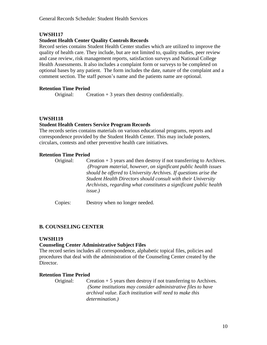## **Student Health Center Quality Controls Records**

Record series contains Student Health Center studies which are utilized to improve the quality of health care. They include, but are not limited to, quality studies, peer review and case review, risk management reports, satisfaction surveys and National College Health Assessments. It also includes a complaint form or surveys to be completed on optional bases by any patient. The form includes the date, nature of the complaint and a comment section. The staff person's name and the patients name are optional.

## **Retention Time Period**

Original: Creation  $+3$  years then destroy confidentially.

## **UWSH118**

## **Student Health Centers Service Program Records**

The records series contains materials on various educational programs, reports and correspondence provided by the Student Health Center. This may include posters, circulars, contests and other preventive health care initiatives.

## **Retention Time Period**

Original: Creation + 3 years and then destroy if not transferring to Archives. *(Program material, however, on significant public health issues should be offered to University Archives. If questions arise the Student Health Directors should consult with their University Archivists, regarding what constitutes a significant public health issue.)*

Copies: Destroy when no longer needed.

## **B. COUNSELING CENTER**

## **UWSH119**

## **Counseling Center Administrative Subject Files**

The record series includes all correspondence, alphabetic topical files, policies and procedures that deal with the administration of the Counseling Center created by the Director.

## **Retention Time Period**

Original: Creation + 5 years then destroy if not transferring to Archives. *(Some institutions may consider administrative files to have archival value. Each institution will need to make this determination.)*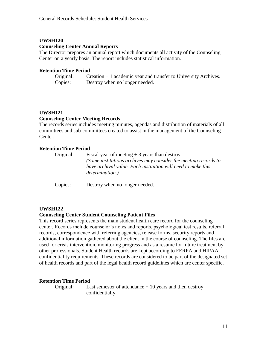#### **Counseling Center Annual Reports**

The Director prepares an annual report which documents all activity of the Counseling Center on a yearly basis. The report includes statistical information.

#### **Retention Time Period**

Original: Creation + 1 academic year and transfer to University Archives. Copies: Destroy when no longer needed.

#### **UWSH121**

#### **Counseling Center Meeting Records**

The records series includes meeting minutes, agendas and distribution of materials of all committees and sub-committees created to assist in the management of the Counseling Center.

#### **Retention Time Period**

| Original: | Fiscal year of meeting $+3$ years than destroy.<br>(Some institutions archives may consider the meeting records to<br>have archival value. Each institution will need to make this<br><i>determination.</i> ) |
|-----------|---------------------------------------------------------------------------------------------------------------------------------------------------------------------------------------------------------------|
| Copies:   | Destroy when no longer needed.                                                                                                                                                                                |

#### **UWSH122**

#### **Counseling Center Student Counseling Patient Files**

This record series represents the main student health care record for the counseling center. Records include counselor's notes and reports, psychological test results, referral records, correspondence with referring agencies, release forms, security reports and additional information gathered about the client in the course of counseling. The files are used for crisis intervention, monitoring progress and as a resume for future treatment by other professionals. Student Health records are kept according to FERPA and HIPAA confidentiality requirements. These records are considered to be part of the designated set of health records and part of the legal health record guidelines which are center specific.

#### **Retention Time Period**

Original: Last semester of attendance + 10 years and then destroy confidentially.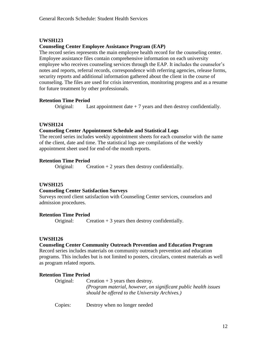#### **Counseling Center Employee Assistance Program (EAP)**

The record series represents the main employee health record for the counseling center. Employee assistance files contain comprehensive information on each university employee who receives counseling services through the EAP. It includes the counselor's notes and reports, referral records, correspondence with referring agencies, release forms, security reports and additional information gathered about the client in the course of counseling. The files are used for crisis intervention, monitoring progress and as a resume for future treatment by other professionals.

#### **Retention Time Period**

Original: Last appointment date + 7 years and then destroy confidentially.

#### **UWSH124**

#### **Counseling Center Appointment Schedule and Statistical Logs**

The record series includes weekly appointment sheets for each counselor with the name of the client, date and time. The statistical logs are compilations of the weekly appointment sheet used for end-of-the month reports.

#### **Retention Time Period**

Original: Creation  $+ 2$  years then destroy confidentially.

#### **UWSH125**

#### **Counseling Center Satisfaction Surveys**

Surveys record client satisfaction with Counseling Center services, counselors and admission procedures.

#### **Retention Time Period**

Original: Creation + 3 years then destroy confidentially.

#### **UWSH126**

#### **Counseling Center Community Outreach Prevention and Education Program**

Record series includes materials on community outreach prevention and education programs. This includes but is not limited to posters, circulars, contest materials as well as program related reports.

#### **Retention Time Period**

| Original: | Creation $+3$ years then destroy.                                |
|-----------|------------------------------------------------------------------|
|           | (Program material, however, on significant public health issues) |
|           | should be offered to the University Archives.)                   |

Copies: Destroy when no longer needed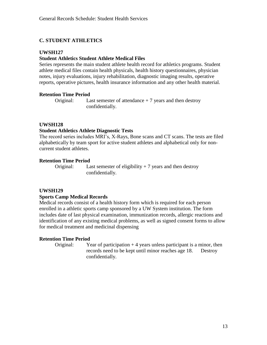## **C. STUDENT ATHLETICS**

## **UWSH127**

#### **Student Athletics Student Athlete Medical Files**

Series represents the main student athlete health record for athletics programs. Student athlete medical files contain health physicals, health history questionnaires, physician notes, injury evaluations, injury rehabilitation, diagnostic imaging results, operative reports, operative pictures, health insurance information and any other health material.

#### **Retention Time Period**

Original: Last semester of attendance + 7 years and then destroy confidentially.

#### **UWSH128**

#### **Student Athletics Athlete Diagnostic Tests**

The record series includes MRI's, X-Rays, Bone scans and CT scans. The tests are filed alphabetically by team sport for active student athletes and alphabetical only for noncurrent student athletes.

#### **Retention Time Period**

Original: Last semester of eligibility  $+7$  years and then destroy confidentially.

#### **UWSH129**

#### **Sports Camp Medical Records**

Medical records consist of a health history form which is required for each person enrolled in a athletic sports camp sponsored by a UW System institution. The form includes date of last physical examination, immunization records, allergic reactions and identification of any existing medical problems, as well as signed consent forms to allow for medical treatment and medicinal dispensing

#### **Retention Time Period**

Original: Year of participation  $+4$  years unless participant is a minor, then records need to be kept until minor reaches age 18. Destroy confidentially.